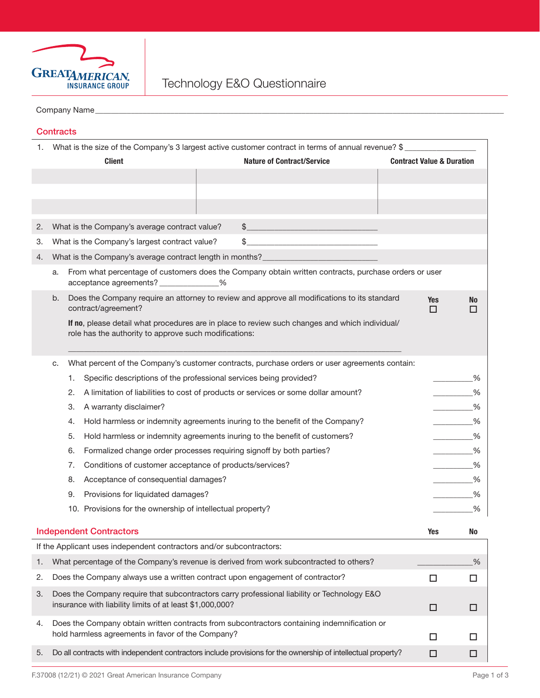

## Company Name\_

| Jontrac |  |
|---------|--|

| 1. | What is the size of the Company's 3 largest active customer contract in terms of annual revenue? \$                                                     |                                   |                                      |                                                                                              |  |  |
|----|---------------------------------------------------------------------------------------------------------------------------------------------------------|-----------------------------------|--------------------------------------|----------------------------------------------------------------------------------------------|--|--|
|    | <b>Client</b>                                                                                                                                           | <b>Nature of Contract/Service</b> | <b>Contract Value &amp; Duration</b> |                                                                                              |  |  |
|    |                                                                                                                                                         |                                   |                                      |                                                                                              |  |  |
|    |                                                                                                                                                         |                                   |                                      |                                                                                              |  |  |
|    |                                                                                                                                                         |                                   |                                      |                                                                                              |  |  |
| 2. | What is the Company's average contract value?                                                                                                           | \$                                |                                      |                                                                                              |  |  |
| 3. | What is the Company's largest contract value?                                                                                                           | \$                                |                                      |                                                                                              |  |  |
| 4. | What is the Company's average contract length in months? _______________________                                                                        |                                   |                                      |                                                                                              |  |  |
|    | From what percentage of customers does the Company obtain written contracts, purchase orders or user<br>a.<br>acceptance agreements? ______________%    |                                   |                                      |                                                                                              |  |  |
|    | Does the Company require an attorney to review and approve all modifications to its standard<br>b.<br>contract/agreement?                               |                                   | <b>Yes</b><br>□                      | <b>No</b><br>□                                                                               |  |  |
|    | If no, please detail what procedures are in place to review such changes and which individual/<br>role has the authority to approve such modifications: |                                   |                                      |                                                                                              |  |  |
|    | What percent of the Company's customer contracts, purchase orders or user agreements contain:<br>c.                                                     |                                   |                                      |                                                                                              |  |  |
|    | Specific descriptions of the professional services being provided?<br>1.                                                                                |                                   |                                      | %<br>$\mathcal{L}^{\text{max}}_{\text{max}}$ , where $\mathcal{L}^{\text{max}}_{\text{max}}$ |  |  |
|    | A limitation of liabilities to cost of products or services or some dollar amount?<br>2.                                                                |                                   |                                      | %                                                                                            |  |  |
|    | 3.<br>A warranty disclaimer?                                                                                                                            |                                   |                                      | %                                                                                            |  |  |
|    | Hold harmless or indemnity agreements inuring to the benefit of the Company?<br>4.                                                                      |                                   |                                      | %                                                                                            |  |  |
|    | 5.<br>Hold harmless or indemnity agreements inuring to the benefit of customers?                                                                        |                                   |                                      | %                                                                                            |  |  |
|    | 6.<br>Formalized change order processes requiring signoff by both parties?                                                                              |                                   |                                      | %                                                                                            |  |  |
|    | 7.<br>Conditions of customer acceptance of products/services?                                                                                           |                                   |                                      | %                                                                                            |  |  |
|    | 8.<br>Acceptance of consequential damages?                                                                                                              |                                   |                                      | %                                                                                            |  |  |
|    | 9.<br>Provisions for liquidated damages?                                                                                                                |                                   |                                      | %                                                                                            |  |  |
|    | 10. Provisions for the ownership of intellectual property?                                                                                              |                                   |                                      | %                                                                                            |  |  |
|    | <b>Independent Contractors</b>                                                                                                                          |                                   |                                      | Yes<br>No                                                                                    |  |  |
|    | If the Applicant uses independent contractors and/or subcontractors:                                                                                    |                                   |                                      |                                                                                              |  |  |
| 1. | What percentage of the Company's revenue is derived from work subcontracted to others?                                                                  |                                   |                                      | %                                                                                            |  |  |
| 2. | Does the Company always use a written contract upon engagement of contractor?                                                                           |                                   | □                                    | □                                                                                            |  |  |
| 3. | Does the Company require that subcontractors carry professional liability or Technology E&O<br>insurance with liability limits of at least \$1,000,000? |                                   | □                                    | □                                                                                            |  |  |
| 4. | Does the Company obtain written contracts from subcontractors containing indemnification or<br>hold harmless agreements in favor of the Company?        |                                   | □                                    | ΙI                                                                                           |  |  |
| 5. | Do all contracts with independent contractors include provisions for the ownership of intellectual property?                                            |                                   | □                                    | □                                                                                            |  |  |
|    |                                                                                                                                                         |                                   |                                      |                                                                                              |  |  |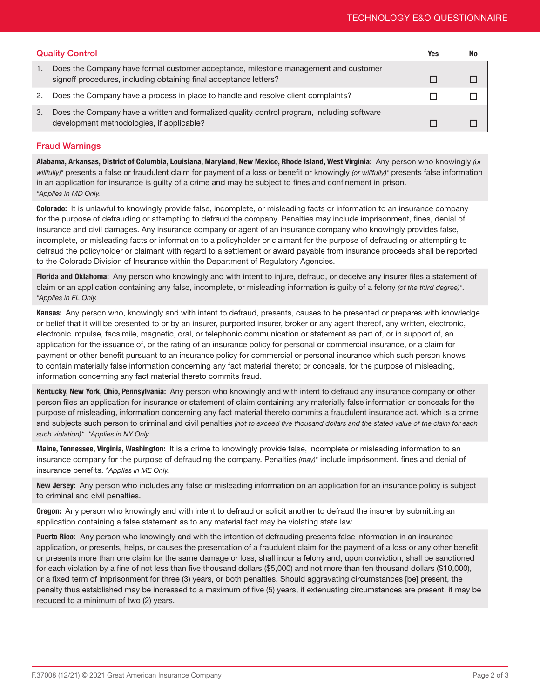| <b>Quality Control</b> |                                                                                                                                                          | Yes | No |
|------------------------|----------------------------------------------------------------------------------------------------------------------------------------------------------|-----|----|
| 1.                     | Does the Company have formal customer acceptance, milestone management and customer<br>signoff procedures, including obtaining final acceptance letters? |     |    |
| 2.                     | Does the Company have a process in place to handle and resolve client complaints?                                                                        |     |    |
| 3.                     | Does the Company have a written and formalized quality control program, including software<br>development methodologies, if applicable?                  |     |    |

## Fraud Warnings

Alabama, Arkansas, District of Columbia, Louisiana, Maryland, New Mexico, Rhode Island, West Virginia: Any person who knowingly *(or willfully)\** presents a false or fraudulent claim for payment of a loss or benefit or knowingly *(or willfully)\** presents false information in an application for insurance is guilty of a crime and may be subject to fines and confinement in prison. *\*Applies in MD Only.*

Colorado: It is unlawful to knowingly provide false, incomplete, or misleading facts or information to an insurance company for the purpose of defrauding or attempting to defraud the company. Penalties may include imprisonment, fines, denial of insurance and civil damages. Any insurance company or agent of an insurance company who knowingly provides false, incomplete, or misleading facts or information to a policyholder or claimant for the purpose of defrauding or attempting to defraud the policyholder or claimant with regard to a settlement or award payable from insurance proceeds shall be reported to the Colorado Division of Insurance within the Department of Regulatory Agencies.

Florida and Oklahoma: Any person who knowingly and with intent to injure, defraud, or deceive any insurer files a statement of claim or an application containing any false, incomplete, or misleading information is guilty of a felony *(of the third degree)\**. *\*Applies in FL Only.*

Kansas: Any person who, knowingly and with intent to defraud, presents, causes to be presented or prepares with knowledge or belief that it will be presented to or by an insurer, purported insurer, broker or any agent thereof, any written, electronic, electronic impulse, facsimile, magnetic, oral, or telephonic communication or statement as part of, or in support of, an application for the issuance of, or the rating of an insurance policy for personal or commercial insurance, or a claim for payment or other benefit pursuant to an insurance policy for commercial or personal insurance which such person knows to contain materially false information concerning any fact material thereto; or conceals, for the purpose of misleading, information concerning any fact material thereto commits fraud.

Kentucky, New York, Ohio, Pennsylvania: Any person who knowingly and with intent to defraud any insurance company or other person files an application for insurance or statement of claim containing any materially false information or conceals for the purpose of misleading, information concerning any fact material thereto commits a fraudulent insurance act, which is a crime and subjects such person to criminal and civil penalties *(not to exceed five thousand dollars and the stated value of the claim for each such violation)\**. *\*Applies in NY Only.*

Maine, Tennessee, Virginia, Washington: It is a crime to knowingly provide false, incomplete or misleading information to an insurance company for the purpose of defrauding the company. Penalties *(may)\** include imprisonment, fines and denial of insurance benefits. \**Applies in ME Only.*

New Jersey: Any person who includes any false or misleading information on an application for an insurance policy is subject to criminal and civil penalties.

**Oregon:** Any person who knowingly and with intent to defraud or solicit another to defraud the insurer by submitting an application containing a false statement as to any material fact may be violating state law.

Puerto Rico: Any person who knowingly and with the intention of defrauding presents false information in an insurance application, or presents, helps, or causes the presentation of a fraudulent claim for the payment of a loss or any other benefit, or presents more than one claim for the same damage or loss, shall incur a felony and, upon conviction, shall be sanctioned for each violation by a fine of not less than five thousand dollars (\$5,000) and not more than ten thousand dollars (\$10,000), or a fixed term of imprisonment for three (3) years, or both penalties. Should aggravating circumstances [be] present, the penalty thus established may be increased to a maximum of five (5) years, if extenuating circumstances are present, it may be reduced to a minimum of two (2) years.